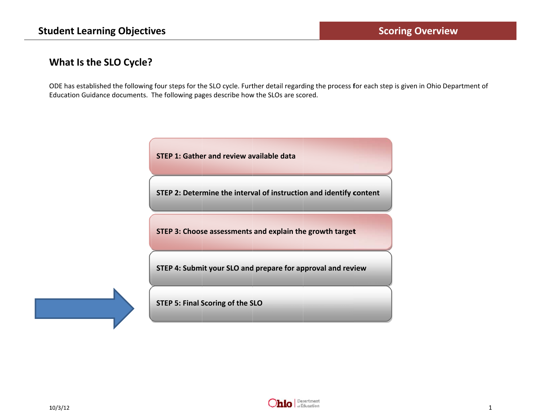# What Is the SLO Cycle?

ODE has established the following four steps for the SLO cycle. Further detail regarding the process for each step is given in Ohio Department of Education Guidance documents. The following pages describe how the SLOs are scored.

STEP 1: Gather and review available data

STEP 2: Determine the interval of instruction and identify content

STEP 3: Choose assessments and explain the growth target

STEP 4: Submit your SLO and prepare for approval and review

**STEP 5: Final Scoring of the SLO** 

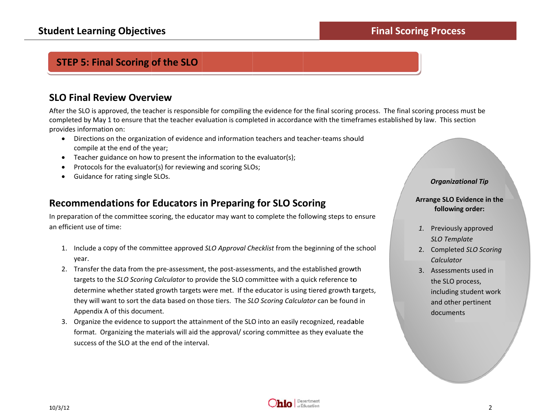# **STEP 5: Final Scoring of the SLO**

## **SLO Final Review Overview**

After the SLO is approved, the teacher is responsible for compiling the evidence for the final scoring process. The final scoring process must be completed by May 1 to ensure that the teacher evaluation is completed in accordance with the timeframes established by law. This section provides information on:

- Directions on the organization of evidence and information teachers and teacher-teams should compile at the end of the year;
- Teacher guidance on how to present the information to the evaluator(s);
- Protocols for the evaluator(s) for reviewing and scoring SLOs;  $\bullet$
- Guidance for rating single SLOs.  $\bullet$

## **Recommendations for Educators in Preparing for SLO Scoring**

In preparation of the committee scoring, the educator may want to complete the following steps to ensure an efficient use of time:

- 1. Include a copy of the committee approved SLO Approval Checklist from the beginning of the school year.
- 2. Transfer the data from the pre-assessment, the post-assessments, and the established growth targets to the SLO Scoring Calculator to provide the SLO committee with a quick reference to determine whether stated growth targets were met. If the educator is using tiered growth targets, they will want to sort the data based on those tiers. The SLO Scoring Calculator can be found in Appendix A of this document.
- 3. Organize the evidence to support the attainment of the SLO into an easily recognized, readable format. Organizing the materials will aid the approval/ scoring committee as they evaluate the success of the SLO at the end of the interval.

#### **Organizational Tip**

**Final Scoring Process** 

#### Arrange SLO Evidence in the following order:

- 1. Previously approved **SLO Template**
- 2. Completed SLO Scoring Calculator
- 3. Assessments used in the SLO process, including student work and other pertinent documents

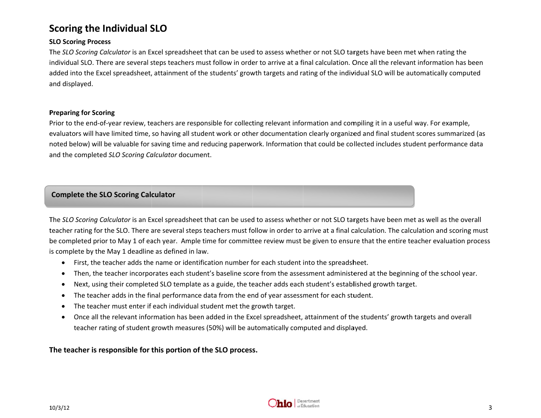# **S Scoring the Individual S SLO**

#### **S SLO Scoring Proc ess**

The *SLO Scoring Calculator* is an Excel spreadsheet that can be used to assess whether or not SLO targets have been met when rating the iindividual SLO. There are several steps teachers must follow in order to arrive at a final calculation. Once all the relevant information has been added into the Excel spreadsheet, attainment of the students' growth targets and rating of the individual SLO will be automatically computed a and displayed.

#### **Preparing for Scoring**

Prior to the end-of-year review, teachers are responsible for collecting relevant information and compiling it in a useful way. For example, evaluators will have limited time, so having all student work or other documentation clearly organized and final student scores summarized (as noted below) will be valuable for saving time and reducing paperwork. Information that could be collected includes student performance data and the completed SLO Scoring Calculator document. l

### **Complete the SLO Scoring Calculator**

The SLO Scoring Calculator is an Excel spreadsheet that can be used to assess whether or not SLO targets have been met as well as the overall teacher rating for the SLO. There are several steps teachers must follow in order to arrive at a final calculation. The calculation and scoring must be completed prior to May 1 of each year. Ample time for committee review must be given to ensure that the entire teacher evaluation process iis complete by the May 1 deadline as defined in law.

- $\bullet$ • First, the teacher adds the name or identification number for each student into the spreadsheet.
- $\bullet$ • Then, the teacher incorporates each student's baseline score from the assessment administered at the beginning of the school year.
- $\bullet$ • Next, using their completed SLO template as a guide, the teacher adds each student's established growth target.
- $\bullet$  $\bullet$  The teacher adds in the final performance data from the end of year assessment for each student.
- $\bullet$ • The teacher must enter if each individual student met the growth target.
- $\bullet$ • Once all the relevant information has been added in the Excel spreadsheet, attainment of the students' growth targets and overall teacher rating of student growth measures (50%) will be automatically computed and displayed.

**T The teacher is <sup>r</sup> responsible for <sup>t</sup> this portion of <sup>t</sup> the SLO process s.**

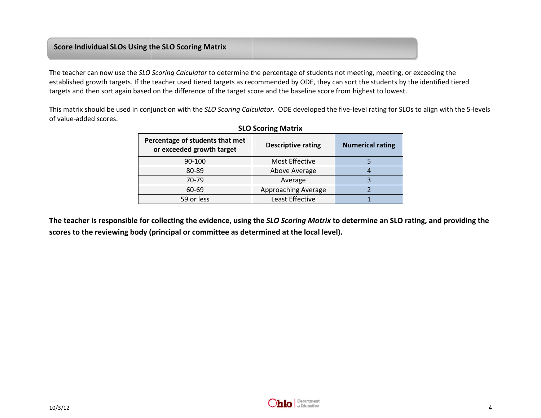### **Score Individu ual SLOs Using t he SLO Scoring Matrix**

The teacher can now use the *SLO Scoring Calculator* to determine the percentage of students not meeting, meeting, or exceeding the The teacher can now use the S*LO Scoring Calculator* to determine the percentage of students not meeting, meeting, or exceeding the<br>established growth targets. If the teacher used tiered targets as recommended by ODE, they targets and then sort again based on the difference of the target score and the baseline score from highest to lowest.

This matrix should be used in conjunction with the SLO Scoring Calculator. ODE developed the five-level rating for SLOs to align with the 5-levels o of value‐added sc cores.

| $322$ 300.000 $\mu$                                          |                           |                         |  |  |  |  |  |
|--------------------------------------------------------------|---------------------------|-------------------------|--|--|--|--|--|
| Percentage of students that met<br>or exceeded growth target | <b>Descriptive rating</b> | <b>Numerical rating</b> |  |  |  |  |  |
| 90-100                                                       | Most Effective            |                         |  |  |  |  |  |
| 80-89                                                        | Above Average             |                         |  |  |  |  |  |
| 70-79                                                        | Average                   |                         |  |  |  |  |  |
| 60-69                                                        | Approaching Average       |                         |  |  |  |  |  |
| 59 or less                                                   | Least Effective           |                         |  |  |  |  |  |
|                                                              |                           |                         |  |  |  |  |  |

### **SLOScoring Matrix**

The teacher is responsible for collecting the evidence, using the *SLO Scoring Matrix* to determine an SLO rating, and providing the scores to the reviewing body (principal or committee as determined at the local level).